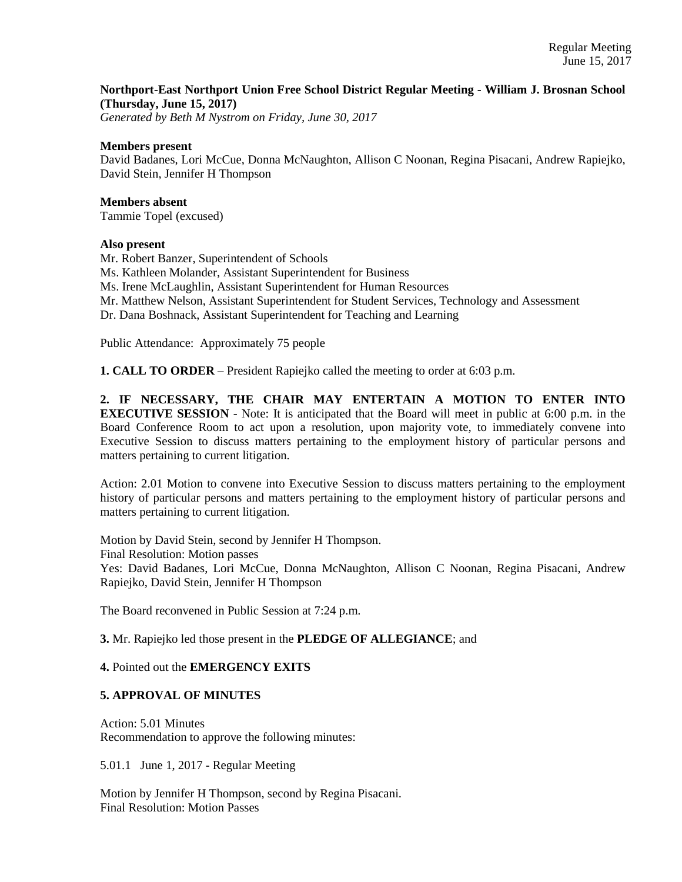# **Northport-East Northport Union Free School District Regular Meeting - William J. Brosnan School (Thursday, June 15, 2017)**

*Generated by Beth M Nystrom on Friday, June 30, 2017*

## **Members present**

David Badanes, Lori McCue, Donna McNaughton, Allison C Noonan, Regina Pisacani, Andrew Rapiejko, David Stein, Jennifer H Thompson

**Members absent**  Tammie Topel (excused)

## **Also present**

Mr. Robert Banzer, Superintendent of Schools Ms. Kathleen Molander, Assistant Superintendent for Business Ms. Irene McLaughlin, Assistant Superintendent for Human Resources Mr. Matthew Nelson, Assistant Superintendent for Student Services, Technology and Assessment Dr. Dana Boshnack, Assistant Superintendent for Teaching and Learning

Public Attendance: Approximately 75 people

**1. CALL TO ORDER** – President Rapiejko called the meeting to order at 6:03 p.m.

**2. IF NECESSARY, THE CHAIR MAY ENTERTAIN A MOTION TO ENTER INTO EXECUTIVE SESSION** - Note: It is anticipated that the Board will meet in public at 6:00 p.m. in the Board Conference Room to act upon a resolution, upon majority vote, to immediately convene into Executive Session to discuss matters pertaining to the employment history of particular persons and matters pertaining to current litigation.

Action: 2.01 Motion to convene into Executive Session to discuss matters pertaining to the employment history of particular persons and matters pertaining to the employment history of particular persons and matters pertaining to current litigation.

Motion by David Stein, second by Jennifer H Thompson.

Final Resolution: Motion passes

Yes: David Badanes, Lori McCue, Donna McNaughton, Allison C Noonan, Regina Pisacani, Andrew Rapiejko, David Stein, Jennifer H Thompson

The Board reconvened in Public Session at 7:24 p.m.

**3.** Mr. Rapiejko led those present in the **PLEDGE OF ALLEGIANCE**; and

#### **4.** Pointed out the **EMERGENCY EXITS**

## **5. APPROVAL OF MINUTES**

Action: 5.01 Minutes Recommendation to approve the following minutes:

5.01.1 June 1, 2017 - Regular Meeting

Motion by Jennifer H Thompson, second by Regina Pisacani. Final Resolution: Motion Passes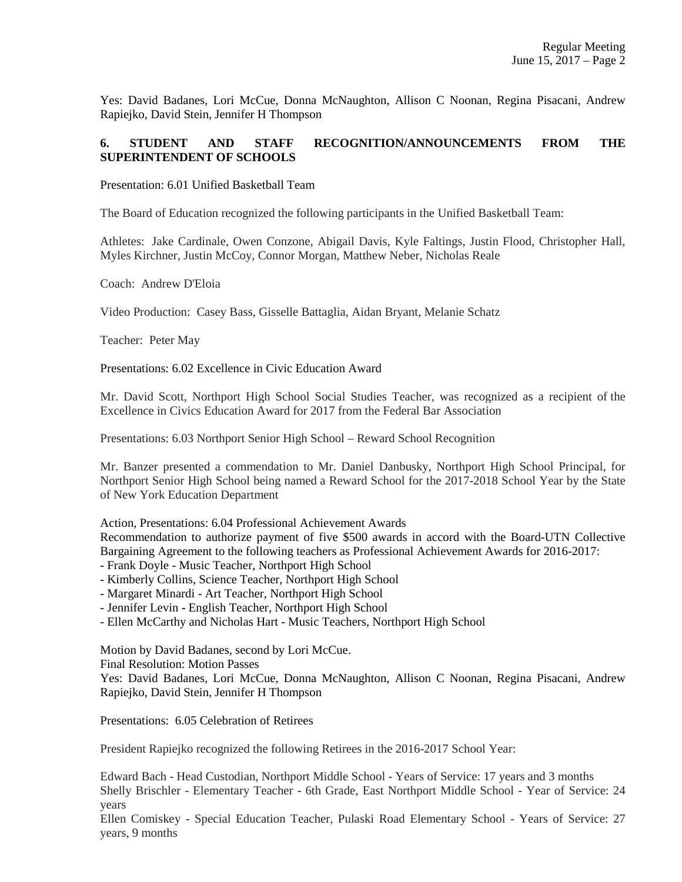Yes: David Badanes, Lori McCue, Donna McNaughton, Allison C Noonan, Regina Pisacani, Andrew Rapiejko, David Stein, Jennifer H Thompson

# **6. STUDENT AND STAFF RECOGNITION/ANNOUNCEMENTS FROM THE SUPERINTENDENT OF SCHOOLS**

Presentation: 6.01 Unified Basketball Team

The Board of Education recognized the following participants in the Unified Basketball Team:

Athletes: Jake Cardinale, Owen Conzone, Abigail Davis, Kyle Faltings, Justin Flood, Christopher Hall, Myles Kirchner, Justin McCoy, Connor Morgan, Matthew Neber, Nicholas Reale

Coach: Andrew D'Eloia

Video Production: Casey Bass, Gisselle Battaglia, Aidan Bryant, Melanie Schatz

Teacher: Peter May

Presentations: 6.02 Excellence in Civic Education Award

Mr. David Scott, Northport High School Social Studies Teacher, was recognized as a recipient of the Excellence in Civics Education Award for 2017 from the Federal Bar Association

Presentations: 6.03 Northport Senior High School – Reward School Recognition

Mr. Banzer presented a commendation to Mr. Daniel Danbusky, Northport High School Principal, for Northport Senior High School being named a Reward School for the 2017-2018 School Year by the State of New York Education Department

Action, Presentations: 6.04 Professional Achievement Awards

Recommendation to authorize payment of five \$500 awards in accord with the Board-UTN Collective Bargaining Agreement to the following teachers as Professional Achievement Awards for 2016-2017:

- Frank Doyle - Music Teacher, Northport High School

- Kimberly Collins, Science Teacher, Northport High School

- Margaret Minardi - Art Teacher, Northport High School

- Jennifer Levin - English Teacher, Northport High School

- Ellen McCarthy and Nicholas Hart - Music Teachers, Northport High School

Motion by David Badanes, second by Lori McCue.

Final Resolution: Motion Passes

Yes: David Badanes, Lori McCue, Donna McNaughton, Allison C Noonan, Regina Pisacani, Andrew Rapiejko, David Stein, Jennifer H Thompson

Presentations: 6.05 Celebration of Retirees

President Rapiejko recognized the following Retirees in the 2016-2017 School Year:

Edward Bach - Head Custodian, Northport Middle School - Years of Service: 17 years and 3 months Shelly Brischler - Elementary Teacher - 6th Grade, East Northport Middle School - Year of Service: 24 years

Ellen Comiskey - Special Education Teacher, Pulaski Road Elementary School - Years of Service: 27 years, 9 months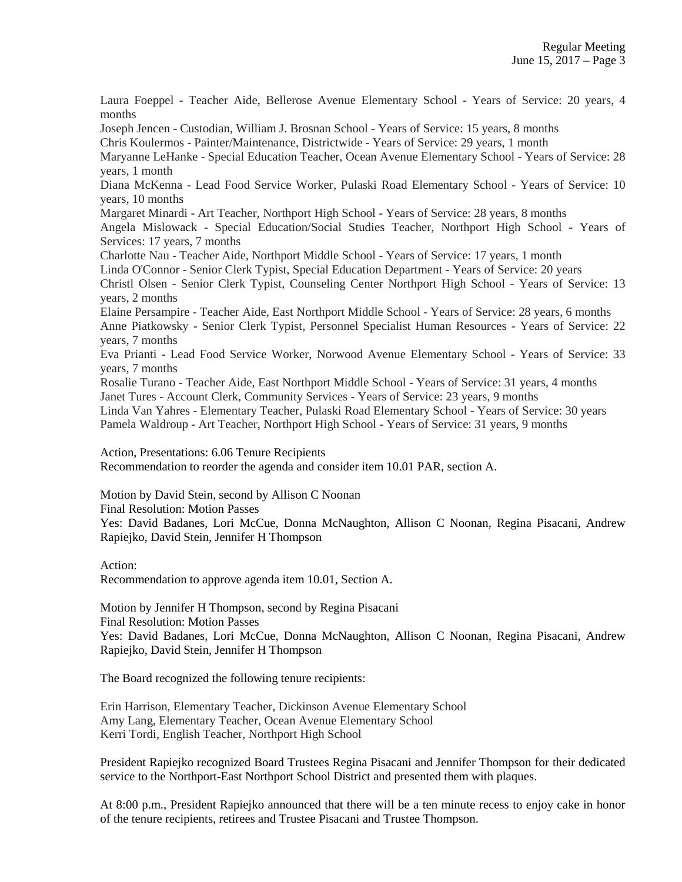Laura Foeppel - Teacher Aide, Bellerose Avenue Elementary School - Years of Service: 20 years, 4 months

Joseph Jencen - Custodian, William J. Brosnan School - Years of Service: 15 years, 8 months

Chris Koulermos - Painter/Maintenance, Districtwide - Years of Service: 29 years, 1 month

Maryanne LeHanke - Special Education Teacher, Ocean Avenue Elementary School - Years of Service: 28 years, 1 month

Diana McKenna - Lead Food Service Worker, Pulaski Road Elementary School - Years of Service: 10 years, 10 months

Margaret Minardi - Art Teacher, Northport High School - Years of Service: 28 years, 8 months

Angela Mislowack - Special Education/Social Studies Teacher, Northport High School - Years of Services: 17 years, 7 months

Charlotte Nau - Teacher Aide, Northport Middle School - Years of Service: 17 years, 1 month Linda O'Connor - Senior Clerk Typist, Special Education Department - Years of Service: 20 years Christl Olsen - Senior Clerk Typist, Counseling Center Northport High School - Years of Service: 13 years, 2 months

Elaine Persampire - Teacher Aide, East Northport Middle School - Years of Service: 28 years, 6 months

Anne Piatkowsky - Senior Clerk Typist, Personnel Specialist Human Resources - Years of Service: 22 years, 7 months

Eva Prianti - Lead Food Service Worker, Norwood Avenue Elementary School - Years of Service: 33 years, 7 months

Rosalie Turano - Teacher Aide, East Northport Middle School - Years of Service: 31 years, 4 months Janet Tures - Account Clerk, Community Services - Years of Service: 23 years, 9 months

Linda Van Yahres - Elementary Teacher, Pulaski Road Elementary School - Years of Service: 30 years Pamela Waldroup - Art Teacher, Northport High School - Years of Service: 31 years, 9 months

Action, Presentations: 6.06 Tenure Recipients

Recommendation to reorder the agenda and consider item 10.01 PAR, section A.

Motion by David Stein, second by Allison C Noonan

Final Resolution: Motion Passes

Yes: David Badanes, Lori McCue, Donna McNaughton, Allison C Noonan, Regina Pisacani, Andrew Rapiejko, David Stein, Jennifer H Thompson

#### Action:

Recommendation to approve agenda item 10.01, Section A.

Motion by Jennifer H Thompson, second by Regina Pisacani

Final Resolution: Motion Passes

Yes: David Badanes, Lori McCue, Donna McNaughton, Allison C Noonan, Regina Pisacani, Andrew Rapiejko, David Stein, Jennifer H Thompson

The Board recognized the following tenure recipients:

Erin Harrison, Elementary Teacher, Dickinson Avenue Elementary School Amy Lang, Elementary Teacher, Ocean Avenue Elementary School Kerri Tordi, English Teacher, Northport High School

President Rapiejko recognized Board Trustees Regina Pisacani and Jennifer Thompson for their dedicated service to the Northport-East Northport School District and presented them with plaques.

At 8:00 p.m., President Rapiejko announced that there will be a ten minute recess to enjoy cake in honor of the tenure recipients, retirees and Trustee Pisacani and Trustee Thompson.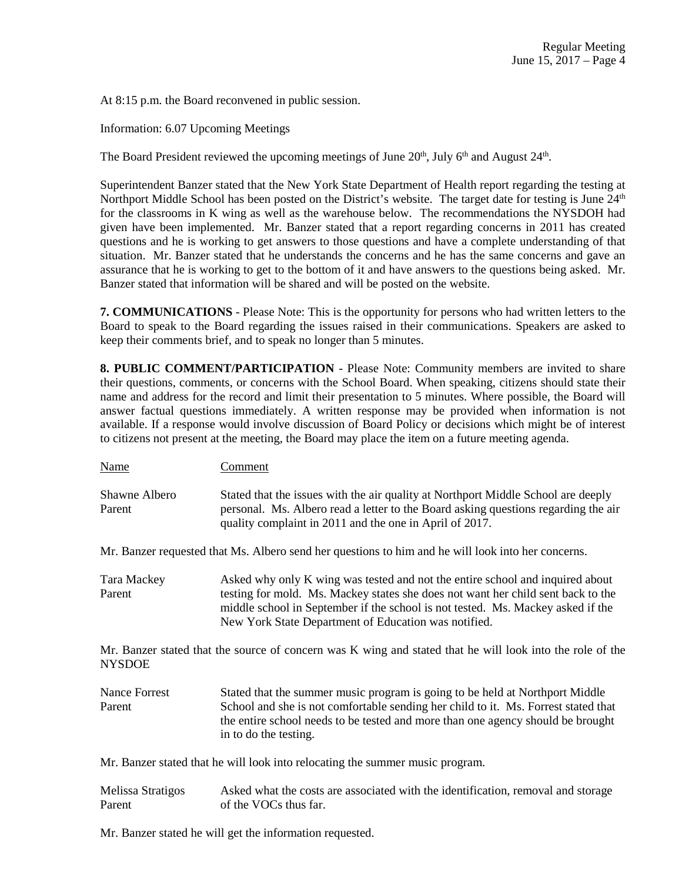At 8:15 p.m. the Board reconvened in public session.

Information: 6.07 Upcoming Meetings

The Board President reviewed the upcoming meetings of June  $20<sup>th</sup>$ , July 6<sup>th</sup> and August  $24<sup>th</sup>$ .

Superintendent Banzer stated that the New York State Department of Health report regarding the testing at Northport Middle School has been posted on the District's website. The target date for testing is June  $24<sup>th</sup>$ for the classrooms in K wing as well as the warehouse below. The recommendations the NYSDOH had given have been implemented. Mr. Banzer stated that a report regarding concerns in 2011 has created questions and he is working to get answers to those questions and have a complete understanding of that situation. Mr. Banzer stated that he understands the concerns and he has the same concerns and gave an assurance that he is working to get to the bottom of it and have answers to the questions being asked. Mr. Banzer stated that information will be shared and will be posted on the website.

**7. COMMUNICATIONS** - Please Note: This is the opportunity for persons who had written letters to the Board to speak to the Board regarding the issues raised in their communications. Speakers are asked to keep their comments brief, and to speak no longer than 5 minutes.

**8. PUBLIC COMMENT/PARTICIPATION** - Please Note: Community members are invited to share their questions, comments, or concerns with the School Board. When speaking, citizens should state their name and address for the record and limit their presentation to 5 minutes. Where possible, the Board will answer factual questions immediately. A written response may be provided when information is not available. If a response would involve discussion of Board Policy or decisions which might be of interest to citizens not present at the meeting, the Board may place the item on a future meeting agenda.

Name Comment

Shawne Albero Stated that the issues with the air quality at Northport Middle School are deeply Parent personal. Ms. Albero read a letter to the Board asking questions regarding the air quality complaint in 2011 and the one in April of 2017.

Mr. Banzer requested that Ms. Albero send her questions to him and he will look into her concerns.

Tara Mackey Asked why only K wing was tested and not the entire school and inquired about Parent testing for mold. Ms. Mackey states she does not want her child sent back to the middle school in September if the school is not tested. Ms. Mackey asked if the New York State Department of Education was notified.

Mr. Banzer stated that the source of concern was K wing and stated that he will look into the role of the NYSDOE

Nance Forrest Stated that the summer music program is going to be held at Northport Middle Parent School and she is not comfortable sending her child to it. Ms. Forrest stated that the entire school needs to be tested and more than one agency should be brought in to do the testing.

Mr. Banzer stated that he will look into relocating the summer music program.

Melissa Stratigos Asked what the costs are associated with the identification, removal and storage Parent of the VOCs thus far.

Mr. Banzer stated he will get the information requested.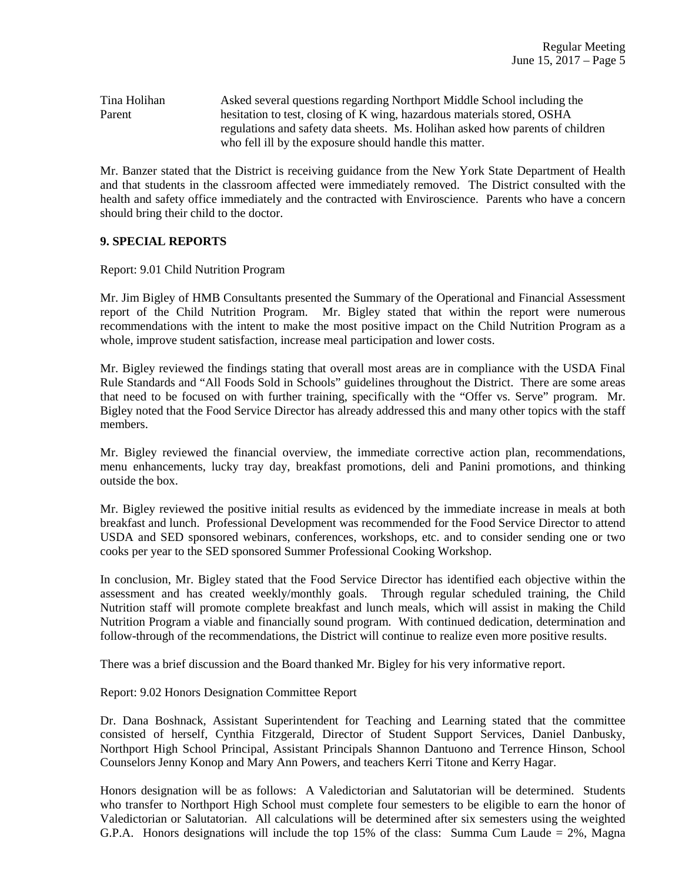| Tina Holihan | Asked several questions regarding Northport Middle School including the       |
|--------------|-------------------------------------------------------------------------------|
| Parent       | hesitation to test, closing of K wing, hazardous materials stored, OSHA       |
|              | regulations and safety data sheets. Ms. Holihan asked how parents of children |
|              | who fell ill by the exposure should handle this matter.                       |

Mr. Banzer stated that the District is receiving guidance from the New York State Department of Health and that students in the classroom affected were immediately removed. The District consulted with the health and safety office immediately and the contracted with Enviroscience. Parents who have a concern should bring their child to the doctor.

## **9. SPECIAL REPORTS**

Report: 9.01 Child Nutrition Program

Mr. Jim Bigley of HMB Consultants presented the Summary of the Operational and Financial Assessment report of the Child Nutrition Program. Mr. Bigley stated that within the report were numerous recommendations with the intent to make the most positive impact on the Child Nutrition Program as a whole, improve student satisfaction, increase meal participation and lower costs.

Mr. Bigley reviewed the findings stating that overall most areas are in compliance with the USDA Final Rule Standards and "All Foods Sold in Schools" guidelines throughout the District. There are some areas that need to be focused on with further training, specifically with the "Offer vs. Serve" program. Mr. Bigley noted that the Food Service Director has already addressed this and many other topics with the staff members.

Mr. Bigley reviewed the financial overview, the immediate corrective action plan, recommendations, menu enhancements, lucky tray day, breakfast promotions, deli and Panini promotions, and thinking outside the box.

Mr. Bigley reviewed the positive initial results as evidenced by the immediate increase in meals at both breakfast and lunch. Professional Development was recommended for the Food Service Director to attend USDA and SED sponsored webinars, conferences, workshops, etc. and to consider sending one or two cooks per year to the SED sponsored Summer Professional Cooking Workshop.

In conclusion, Mr. Bigley stated that the Food Service Director has identified each objective within the assessment and has created weekly/monthly goals. Through regular scheduled training, the Child Nutrition staff will promote complete breakfast and lunch meals, which will assist in making the Child Nutrition Program a viable and financially sound program. With continued dedication, determination and follow-through of the recommendations, the District will continue to realize even more positive results.

There was a brief discussion and the Board thanked Mr. Bigley for his very informative report.

Report: 9.02 Honors Designation Committee Report

Dr. Dana Boshnack, Assistant Superintendent for Teaching and Learning stated that the committee consisted of herself, Cynthia Fitzgerald, Director of Student Support Services, Daniel Danbusky, Northport High School Principal, Assistant Principals Shannon Dantuono and Terrence Hinson, School Counselors Jenny Konop and Mary Ann Powers, and teachers Kerri Titone and Kerry Hagar.

Honors designation will be as follows: A Valedictorian and Salutatorian will be determined. Students who transfer to Northport High School must complete four semesters to be eligible to earn the honor of Valedictorian or Salutatorian. All calculations will be determined after six semesters using the weighted G.P.A. Honors designations will include the top 15% of the class: Summa Cum Laude =  $2\%$ , Magna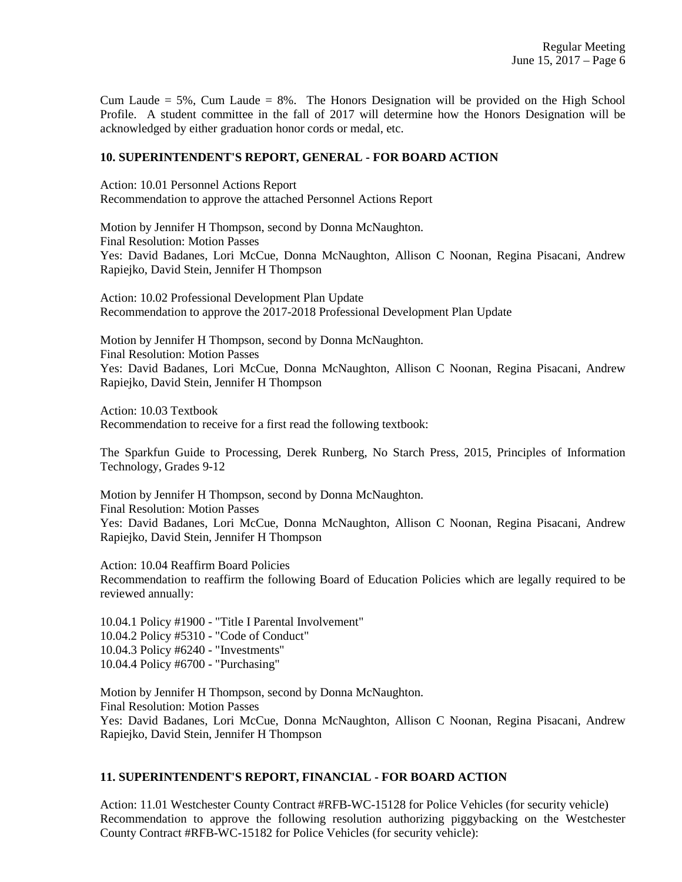Cum Laude  $= 5\%$ , Cum Laude  $= 8\%$ . The Honors Designation will be provided on the High School Profile. A student committee in the fall of 2017 will determine how the Honors Designation will be acknowledged by either graduation honor cords or medal, etc.

## **10. SUPERINTENDENT'S REPORT, GENERAL - FOR BOARD ACTION**

Action: 10.01 Personnel Actions Report Recommendation to approve the attached Personnel Actions Report

Motion by Jennifer H Thompson, second by Donna McNaughton. Final Resolution: Motion Passes Yes: David Badanes, Lori McCue, Donna McNaughton, Allison C Noonan, Regina Pisacani, Andrew Rapiejko, David Stein, Jennifer H Thompson

Action: 10.02 Professional Development Plan Update Recommendation to approve the 2017-2018 Professional Development Plan Update

Motion by Jennifer H Thompson, second by Donna McNaughton. Final Resolution: Motion Passes Yes: David Badanes, Lori McCue, Donna McNaughton, Allison C Noonan, Regina Pisacani, Andrew Rapiejko, David Stein, Jennifer H Thompson

Action: 10.03 Textbook Recommendation to receive for a first read the following textbook:

The Sparkfun Guide to Processing, Derek Runberg, No Starch Press, 2015, Principles of Information Technology, Grades 9-12

Motion by Jennifer H Thompson, second by Donna McNaughton. Final Resolution: Motion Passes Yes: David Badanes, Lori McCue, Donna McNaughton, Allison C Noonan, Regina Pisacani, Andrew Rapiejko, David Stein, Jennifer H Thompson

Action: 10.04 Reaffirm Board Policies Recommendation to reaffirm the following Board of Education Policies which are legally required to be reviewed annually:

10.04.1 Policy #1900 - "Title I Parental Involvement" 10.04.2 Policy #5310 - "Code of Conduct" 10.04.3 Policy #6240 - "Investments" 10.04.4 Policy #6700 - "Purchasing"

Motion by Jennifer H Thompson, second by Donna McNaughton. Final Resolution: Motion Passes Yes: David Badanes, Lori McCue, Donna McNaughton, Allison C Noonan, Regina Pisacani, Andrew Rapiejko, David Stein, Jennifer H Thompson

#### **11. SUPERINTENDENT'S REPORT, FINANCIAL - FOR BOARD ACTION**

Action: 11.01 Westchester County Contract #RFB-WC-15128 for Police Vehicles (for security vehicle) Recommendation to approve the following resolution authorizing piggybacking on the Westchester County Contract #RFB-WC-15182 for Police Vehicles (for security vehicle):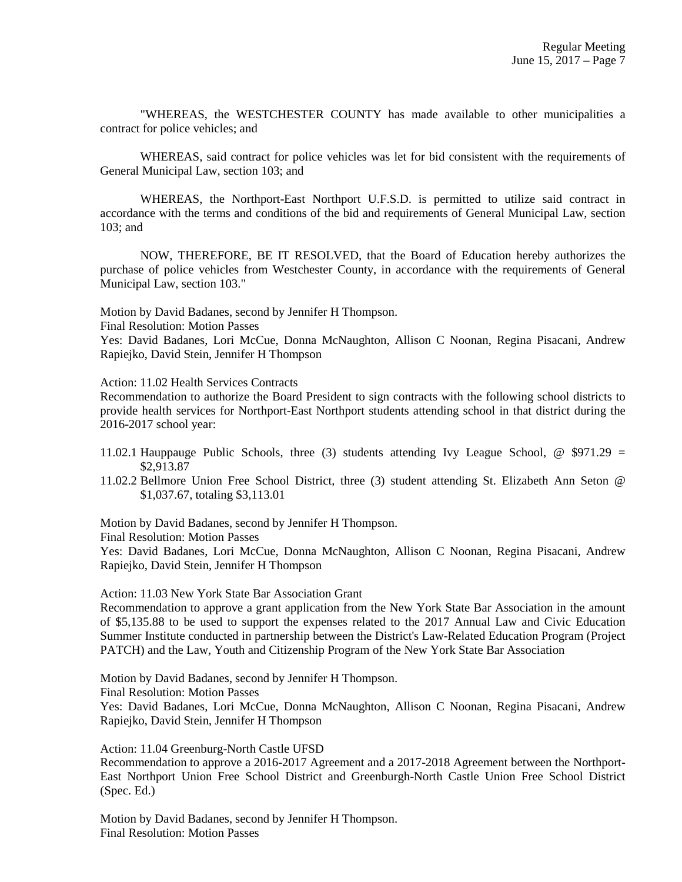"WHEREAS, the WESTCHESTER COUNTY has made available to other municipalities a contract for police vehicles; and

WHEREAS, said contract for police vehicles was let for bid consistent with the requirements of General Municipal Law, section 103; and

WHEREAS, the Northport-East Northport U.F.S.D. is permitted to utilize said contract in accordance with the terms and conditions of the bid and requirements of General Municipal Law, section 103; and

NOW, THEREFORE, BE IT RESOLVED, that the Board of Education hereby authorizes the purchase of police vehicles from Westchester County, in accordance with the requirements of General Municipal Law, section 103."

Motion by David Badanes, second by Jennifer H Thompson.

Final Resolution: Motion Passes

Yes: David Badanes, Lori McCue, Donna McNaughton, Allison C Noonan, Regina Pisacani, Andrew Rapiejko, David Stein, Jennifer H Thompson

Action: 11.02 Health Services Contracts

Recommendation to authorize the Board President to sign contracts with the following school districts to provide health services for Northport-East Northport students attending school in that district during the 2016-2017 school year:

- 11.02.1 Hauppauge Public Schools, three (3) students attending Ivy League School,  $\omega$  \$971.29 = \$2,913.87
- 11.02.2 Bellmore Union Free School District, three (3) student attending St. Elizabeth Ann Seton @ \$1,037.67, totaling \$3,113.01

Motion by David Badanes, second by Jennifer H Thompson.

Final Resolution: Motion Passes

Yes: David Badanes, Lori McCue, Donna McNaughton, Allison C Noonan, Regina Pisacani, Andrew Rapiejko, David Stein, Jennifer H Thompson

Action: 11.03 New York State Bar Association Grant

Recommendation to approve a grant application from the New York State Bar Association in the amount of \$5,135.88 to be used to support the expenses related to the 2017 Annual Law and Civic Education Summer Institute conducted in partnership between the District's Law-Related Education Program (Project PATCH) and the Law, Youth and Citizenship Program of the New York State Bar Association

Motion by David Badanes, second by Jennifer H Thompson. Final Resolution: Motion Passes Yes: David Badanes, Lori McCue, Donna McNaughton, Allison C Noonan, Regina Pisacani, Andrew Rapiejko, David Stein, Jennifer H Thompson

Action: 11.04 Greenburg-North Castle UFSD

Recommendation to approve a 2016-2017 Agreement and a 2017-2018 Agreement between the Northport-East Northport Union Free School District and Greenburgh-North Castle Union Free School District (Spec. Ed.)

Motion by David Badanes, second by Jennifer H Thompson. Final Resolution: Motion Passes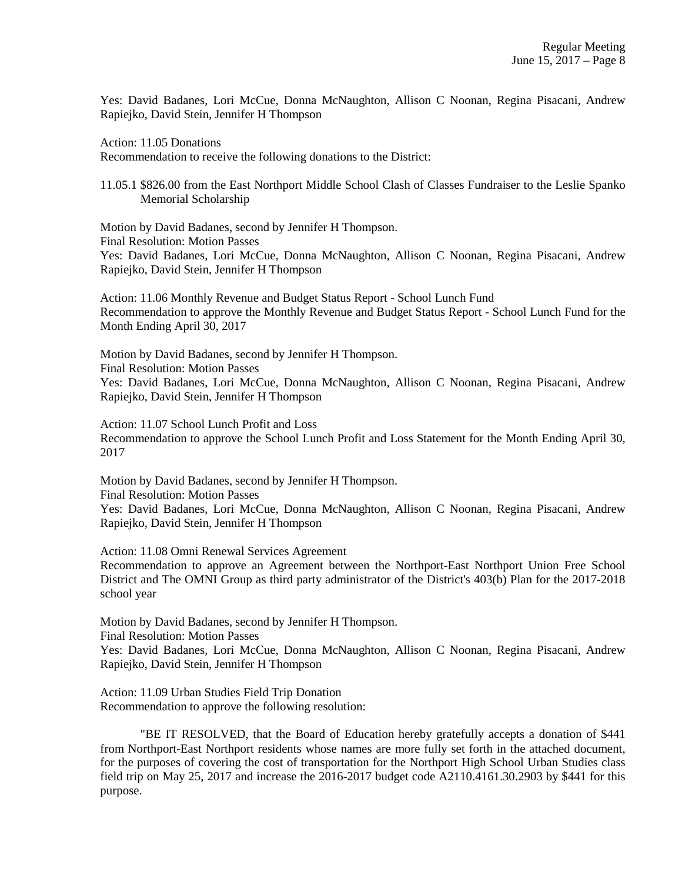Yes: David Badanes, Lori McCue, Donna McNaughton, Allison C Noonan, Regina Pisacani, Andrew Rapiejko, David Stein, Jennifer H Thompson

Action: 11.05 Donations

Recommendation to receive the following donations to the District:

11.05.1 \$826.00 from the East Northport Middle School Clash of Classes Fundraiser to the Leslie Spanko Memorial Scholarship

Motion by David Badanes, second by Jennifer H Thompson. Final Resolution: Motion Passes Yes: David Badanes, Lori McCue, Donna McNaughton, Allison C Noonan, Regina Pisacani, Andrew Rapiejko, David Stein, Jennifer H Thompson

Action: 11.06 Monthly Revenue and Budget Status Report - School Lunch Fund Recommendation to approve the Monthly Revenue and Budget Status Report - School Lunch Fund for the Month Ending April 30, 2017

Motion by David Badanes, second by Jennifer H Thompson. Final Resolution: Motion Passes Yes: David Badanes, Lori McCue, Donna McNaughton, Allison C Noonan, Regina Pisacani, Andrew Rapiejko, David Stein, Jennifer H Thompson

Action: 11.07 School Lunch Profit and Loss Recommendation to approve the School Lunch Profit and Loss Statement for the Month Ending April 30, 2017

Motion by David Badanes, second by Jennifer H Thompson. Final Resolution: Motion Passes Yes: David Badanes, Lori McCue, Donna McNaughton, Allison C Noonan, Regina Pisacani, Andrew Rapiejko, David Stein, Jennifer H Thompson

Action: 11.08 Omni Renewal Services Agreement

Recommendation to approve an Agreement between the Northport-East Northport Union Free School District and The OMNI Group as third party administrator of the District's 403(b) Plan for the 2017-2018 school year

Motion by David Badanes, second by Jennifer H Thompson. Final Resolution: Motion Passes

Yes: David Badanes, Lori McCue, Donna McNaughton, Allison C Noonan, Regina Pisacani, Andrew Rapiejko, David Stein, Jennifer H Thompson

Action: 11.09 Urban Studies Field Trip Donation Recommendation to approve the following resolution:

"BE IT RESOLVED, that the Board of Education hereby gratefully accepts a donation of \$441 from Northport-East Northport residents whose names are more fully set forth in the attached document, for the purposes of covering the cost of transportation for the Northport High School Urban Studies class field trip on May 25, 2017 and increase the 2016-2017 budget code A2110.4161.30.2903 by \$441 for this purpose.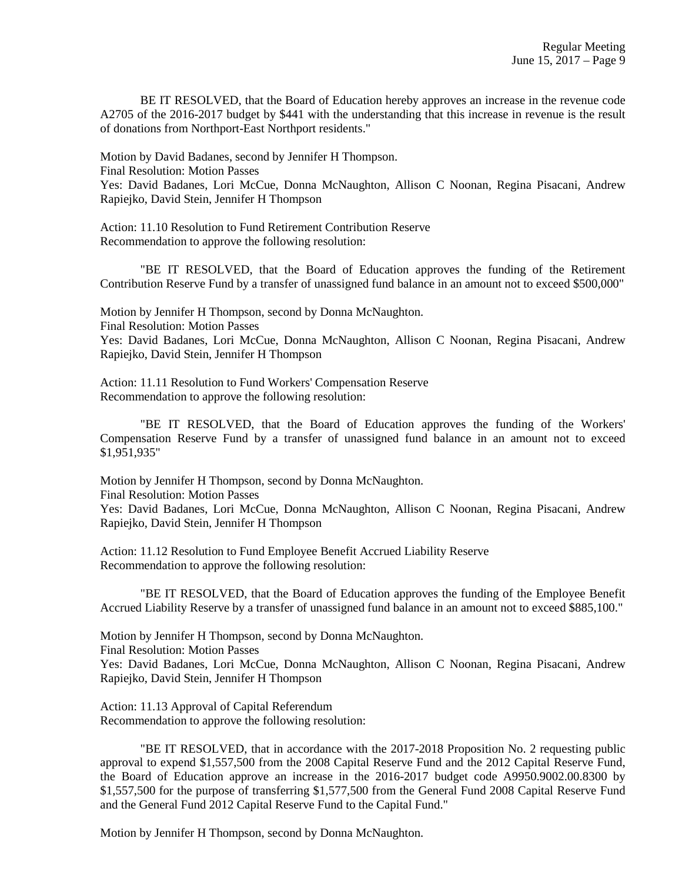BE IT RESOLVED, that the Board of Education hereby approves an increase in the revenue code A2705 of the 2016-2017 budget by \$441 with the understanding that this increase in revenue is the result of donations from Northport-East Northport residents."

Motion by David Badanes, second by Jennifer H Thompson.

Final Resolution: Motion Passes

Yes: David Badanes, Lori McCue, Donna McNaughton, Allison C Noonan, Regina Pisacani, Andrew Rapiejko, David Stein, Jennifer H Thompson

Action: 11.10 Resolution to Fund Retirement Contribution Reserve Recommendation to approve the following resolution:

"BE IT RESOLVED, that the Board of Education approves the funding of the Retirement Contribution Reserve Fund by a transfer of unassigned fund balance in an amount not to exceed \$500,000"

Motion by Jennifer H Thompson, second by Donna McNaughton. Final Resolution: Motion Passes Yes: David Badanes, Lori McCue, Donna McNaughton, Allison C Noonan, Regina Pisacani, Andrew

Action: 11.11 Resolution to Fund Workers' Compensation Reserve Recommendation to approve the following resolution:

Rapiejko, David Stein, Jennifer H Thompson

"BE IT RESOLVED, that the Board of Education approves the funding of the Workers' Compensation Reserve Fund by a transfer of unassigned fund balance in an amount not to exceed \$1,951,935"

Motion by Jennifer H Thompson, second by Donna McNaughton. Final Resolution: Motion Passes

Yes: David Badanes, Lori McCue, Donna McNaughton, Allison C Noonan, Regina Pisacani, Andrew Rapiejko, David Stein, Jennifer H Thompson

Action: 11.12 Resolution to Fund Employee Benefit Accrued Liability Reserve Recommendation to approve the following resolution:

"BE IT RESOLVED, that the Board of Education approves the funding of the Employee Benefit Accrued Liability Reserve by a transfer of unassigned fund balance in an amount not to exceed \$885,100."

Motion by Jennifer H Thompson, second by Donna McNaughton.

Final Resolution: Motion Passes

Yes: David Badanes, Lori McCue, Donna McNaughton, Allison C Noonan, Regina Pisacani, Andrew Rapiejko, David Stein, Jennifer H Thompson

Action: 11.13 Approval of Capital Referendum Recommendation to approve the following resolution:

"BE IT RESOLVED, that in accordance with the 2017-2018 Proposition No. 2 requesting public approval to expend \$1,557,500 from the 2008 Capital Reserve Fund and the 2012 Capital Reserve Fund, the Board of Education approve an increase in the 2016-2017 budget code A9950.9002.00.8300 by \$1,557,500 for the purpose of transferring \$1,577,500 from the General Fund 2008 Capital Reserve Fund and the General Fund 2012 Capital Reserve Fund to the Capital Fund."

Motion by Jennifer H Thompson, second by Donna McNaughton.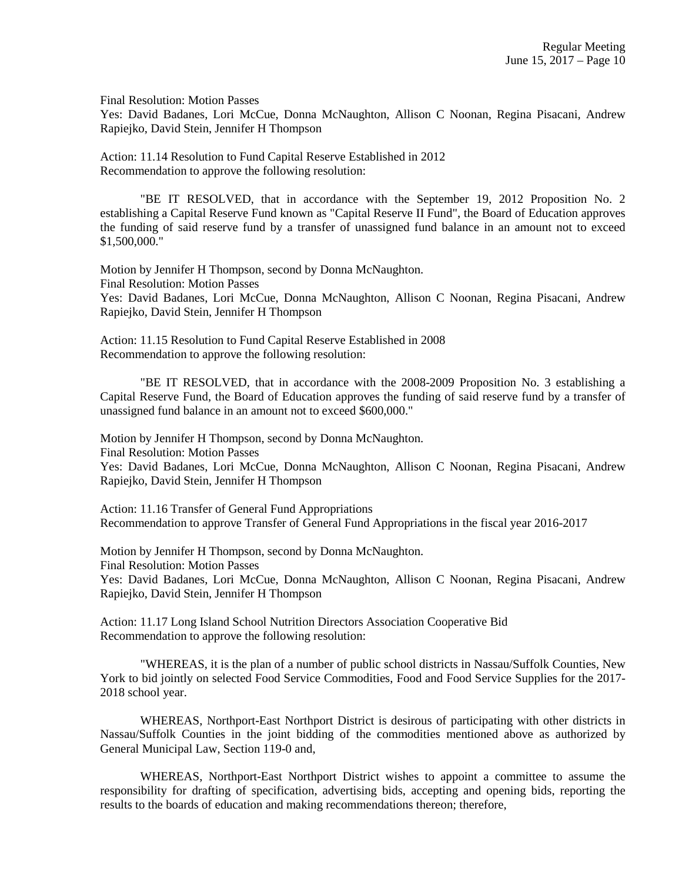Final Resolution: Motion Passes

Yes: David Badanes, Lori McCue, Donna McNaughton, Allison C Noonan, Regina Pisacani, Andrew Rapiejko, David Stein, Jennifer H Thompson

Action: 11.14 Resolution to Fund Capital Reserve Established in 2012 Recommendation to approve the following resolution:

"BE IT RESOLVED, that in accordance with the September 19, 2012 Proposition No. 2 establishing a Capital Reserve Fund known as "Capital Reserve II Fund", the Board of Education approves the funding of said reserve fund by a transfer of unassigned fund balance in an amount not to exceed \$1,500,000."

Motion by Jennifer H Thompson, second by Donna McNaughton. Final Resolution: Motion Passes Yes: David Badanes, Lori McCue, Donna McNaughton, Allison C Noonan, Regina Pisacani, Andrew Rapiejko, David Stein, Jennifer H Thompson

Action: 11.15 Resolution to Fund Capital Reserve Established in 2008 Recommendation to approve the following resolution:

"BE IT RESOLVED, that in accordance with the 2008-2009 Proposition No. 3 establishing a Capital Reserve Fund, the Board of Education approves the funding of said reserve fund by a transfer of unassigned fund balance in an amount not to exceed \$600,000."

Motion by Jennifer H Thompson, second by Donna McNaughton. Final Resolution: Motion Passes Yes: David Badanes, Lori McCue, Donna McNaughton, Allison C Noonan, Regina Pisacani, Andrew Rapiejko, David Stein, Jennifer H Thompson

Action: 11.16 Transfer of General Fund Appropriations Recommendation to approve Transfer of General Fund Appropriations in the fiscal year 2016-2017

Motion by Jennifer H Thompson, second by Donna McNaughton. Final Resolution: Motion Passes Yes: David Badanes, Lori McCue, Donna McNaughton, Allison C Noonan, Regina Pisacani, Andrew Rapiejko, David Stein, Jennifer H Thompson

Action: 11.17 Long Island School Nutrition Directors Association Cooperative Bid Recommendation to approve the following resolution:

"WHEREAS, it is the plan of a number of public school districts in Nassau/Suffolk Counties, New York to bid jointly on selected Food Service Commodities, Food and Food Service Supplies for the 2017- 2018 school year.

WHEREAS, Northport-East Northport District is desirous of participating with other districts in Nassau/Suffolk Counties in the joint bidding of the commodities mentioned above as authorized by General Municipal Law, Section 119-0 and,

WHEREAS, Northport-East Northport District wishes to appoint a committee to assume the responsibility for drafting of specification, advertising bids, accepting and opening bids, reporting the results to the boards of education and making recommendations thereon; therefore,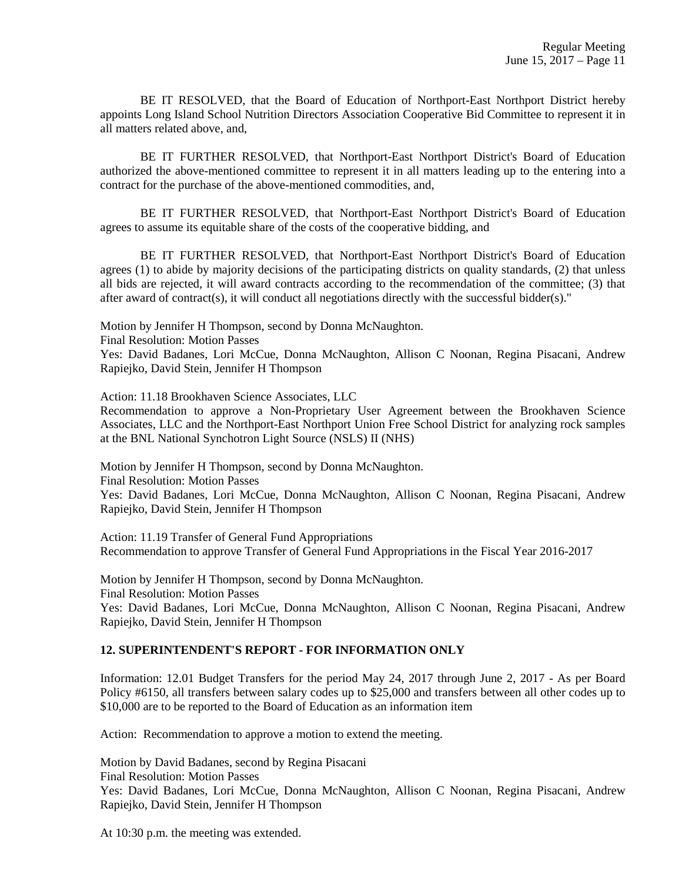BE IT RESOLVED, that the Board of Education of Northport-East Northport District hereby appoints Long Island School Nutrition Directors Association Cooperative Bid Committee to represent it in all matters related above, and,

BE IT FURTHER RESOLVED, that Northport-East Northport District's Board of Education authorized the above-mentioned committee to represent it in all matters leading up to the entering into a contract for the purchase of the above-mentioned commodities, and,

BE IT FURTHER RESOLVED, that Northport-East Northport District's Board of Education agrees to assume its equitable share of the costs of the cooperative bidding, and

BE IT FURTHER RESOLVED, that Northport-East Northport District's Board of Education agrees (1) to abide by majority decisions of the participating districts on quality standards, (2) that unless all bids are rejected, it will award contracts according to the recommendation of the committee; (3) that after award of contract(s), it will conduct all negotiations directly with the successful bidder(s)."

Motion by Jennifer H Thompson, second by Donna McNaughton.

Final Resolution: Motion Passes

Yes: David Badanes, Lori McCue, Donna McNaughton, Allison C Noonan, Regina Pisacani, Andrew Rapiejko, David Stein, Jennifer H Thompson

Action: 11.18 Brookhaven Science Associates, LLC

Recommendation to approve a Non-Proprietary User Agreement between the Brookhaven Science Associates, LLC and the Northport-East Northport Union Free School District for analyzing rock samples at the BNL National Synchotron Light Source (NSLS) II (NHS)

Motion by Jennifer H Thompson, second by Donna McNaughton.

Final Resolution: Motion Passes

Yes: David Badanes, Lori McCue, Donna McNaughton, Allison C Noonan, Regina Pisacani, Andrew Rapiejko, David Stein, Jennifer H Thompson

Action: 11.19 Transfer of General Fund Appropriations Recommendation to approve Transfer of General Fund Appropriations in the Fiscal Year 2016-2017

Motion by Jennifer H Thompson, second by Donna McNaughton. Final Resolution: Motion Passes Yes: David Badanes, Lori McCue, Donna McNaughton, Allison C Noonan, Regina Pisacani, Andrew Rapiejko, David Stein, Jennifer H Thompson

## **12. SUPERINTENDENT'S REPORT - FOR INFORMATION ONLY**

Information: 12.01 Budget Transfers for the period May 24, 2017 through June 2, 2017 - As per Board Policy #6150, all transfers between salary codes up to \$25,000 and transfers between all other codes up to \$10,000 are to be reported to the Board of Education as an information item

Action: Recommendation to approve a motion to extend the meeting.

Motion by David Badanes, second by Regina Pisacani

Final Resolution: Motion Passes

Yes: David Badanes, Lori McCue, Donna McNaughton, Allison C Noonan, Regina Pisacani, Andrew Rapiejko, David Stein, Jennifer H Thompson

At 10:30 p.m. the meeting was extended.